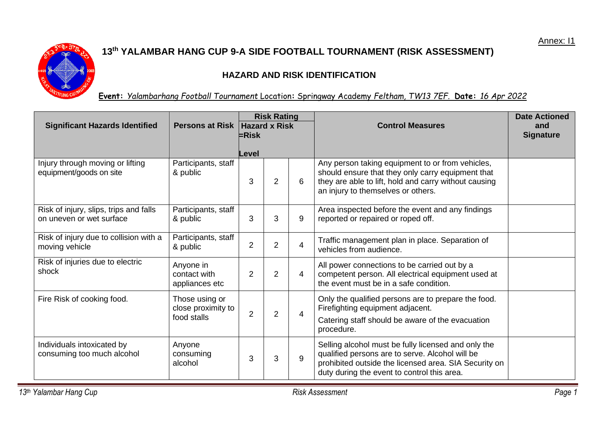

## **13 th YALAMBAR HANG CUP 9-A SIDE FOOTBALL TOURNAMENT (RISK ASSESSMENT)**

## **HAZARD AND RISK IDENTIFICATION**

## **Event:** *Yalambarhang Football Tournament* Location**:** Springway Academy *Feltham, TW13 7EF.* **Date:** *16 Apr 2022*

| <b>Significant Hazards Identified</b>                              | Persons at Risk   Hazard x Risk                     | <b>Risk Rating</b><br>$\varepsilon$ Risk |                |                | <b>Control Measures</b>                                                                                                                                                                                        | <b>Date Actioned</b><br>and<br><b>Signature</b> |
|--------------------------------------------------------------------|-----------------------------------------------------|------------------------------------------|----------------|----------------|----------------------------------------------------------------------------------------------------------------------------------------------------------------------------------------------------------------|-------------------------------------------------|
|                                                                    |                                                     | Level                                    |                |                |                                                                                                                                                                                                                |                                                 |
| Injury through moving or lifting<br>equipment/goods on site        | Participants, staff<br>& public                     | 3                                        | 2              | 6              | Any person taking equipment to or from vehicles,<br>should ensure that they only carry equipment that<br>they are able to lift, hold and carry without causing<br>an injury to themselves or others.           |                                                 |
| Risk of injury, slips, trips and falls<br>on uneven or wet surface | Participants, staff<br>& public                     | 3                                        | 3              | 9              | Area inspected before the event and any findings<br>reported or repaired or roped off.                                                                                                                         |                                                 |
| Risk of injury due to collision with a<br>moving vehicle           | Participants, staff<br>& public                     | $\overline{2}$                           | $\overline{2}$ | 4              | Traffic management plan in place. Separation of<br>vehicles from audience.                                                                                                                                     |                                                 |
| Risk of injuries due to electric<br>shock                          | Anyone in<br>contact with<br>appliances etc         | $\overline{2}$                           | $\overline{2}$ | 4              | All power connections to be carried out by a<br>competent person. All electrical equipment used at<br>the event must be in a safe condition.                                                                   |                                                 |
| Fire Risk of cooking food.                                         | Those using or<br>close proximity to<br>food stalls | $\overline{2}$                           | $\overline{2}$ | $\overline{4}$ | Only the qualified persons are to prepare the food.<br>Firefighting equipment adjacent.<br>Catering staff should be aware of the evacuation<br>procedure.                                                      |                                                 |
| Individuals intoxicated by<br>consuming too much alcohol           | Anyone<br>consuming<br>alcohol                      | 3                                        | 3              | 9              | Selling alcohol must be fully licensed and only the<br>qualified persons are to serve. Alcohol will be<br>prohibited outside the licensed area. SIA Security on<br>duty during the event to control this area. |                                                 |

*13 th Yalambar Hang Cup Risk Assessment Page 1*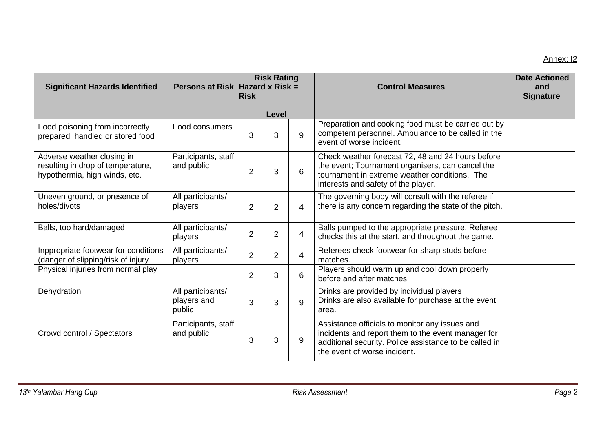## Annex: I2

| <b>Significant Hazards Identified</b>                                                            | Persons at Risk Hazard x Risk =            | <b>Risk Rating</b><br><b>Risk</b> |                |                | <b>Control Measures</b>                                                                                                                                                                        | <b>Date Actioned</b><br>and<br><b>Signature</b> |
|--------------------------------------------------------------------------------------------------|--------------------------------------------|-----------------------------------|----------------|----------------|------------------------------------------------------------------------------------------------------------------------------------------------------------------------------------------------|-------------------------------------------------|
|                                                                                                  |                                            |                                   | Level          |                |                                                                                                                                                                                                |                                                 |
| Food poisoning from incorrectly<br>prepared, handled or stored food                              | Food consumers                             | 3                                 | 3              | 9              | Preparation and cooking food must be carried out by<br>competent personnel. Ambulance to be called in the<br>event of worse incident.                                                          |                                                 |
| Adverse weather closing in<br>resulting in drop of temperature,<br>hypothermia, high winds, etc. | Participants, staff<br>and public          | $\overline{2}$                    | 3              | 6              | Check weather forecast 72, 48 and 24 hours before<br>the event; Tournament organisers, can cancel the<br>tournament in extreme weather conditions. The<br>interests and safety of the player.  |                                                 |
| Uneven ground, or presence of<br>holes/divots                                                    | All participants/<br>players               | $\overline{2}$                    | $\overline{2}$ | 4              | The governing body will consult with the referee if<br>there is any concern regarding the state of the pitch.                                                                                  |                                                 |
| Balls, too hard/damaged                                                                          | All participants/<br>players               | $\overline{2}$                    | $\overline{2}$ | 4              | Balls pumped to the appropriate pressure. Referee<br>checks this at the start, and throughout the game.                                                                                        |                                                 |
| Inppropriate footwear for conditions<br>(danger of slipping/risk of injury                       | All participants/<br>players               | $\overline{2}$                    | $\overline{2}$ | $\overline{4}$ | Referees check footwear for sharp studs before<br>matches.                                                                                                                                     |                                                 |
| Physical injuries from normal play                                                               |                                            | $\overline{2}$                    | 3              | 6              | Players should warm up and cool down properly<br>before and after matches.                                                                                                                     |                                                 |
| Dehydration                                                                                      | All participants/<br>players and<br>public | 3                                 | 3              | 9              | Drinks are provided by individual players<br>Drinks are also available for purchase at the event<br>area.                                                                                      |                                                 |
| Crowd control / Spectators                                                                       | Participants, staff<br>and public          | 3                                 | 3              | 9              | Assistance officials to monitor any issues and<br>incidents and report them to the event manager for<br>additional security. Police assistance to be called in<br>the event of worse incident. |                                                 |